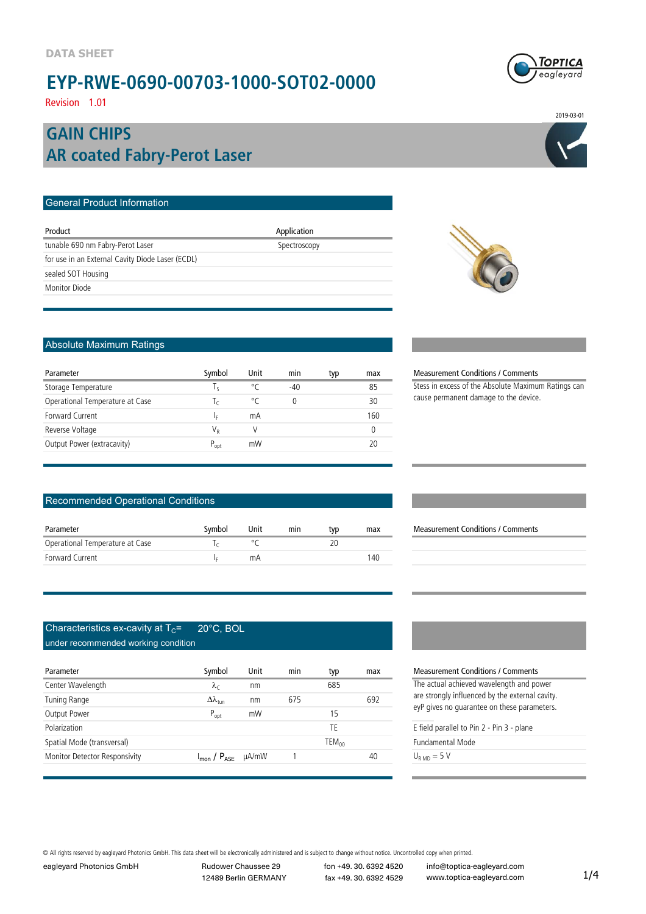

Revision 1.01

### **AR coated Fabry-Perot Laser GAIN CHIPS**

| <b>General Product Information</b>               |              |  |
|--------------------------------------------------|--------------|--|
| Product                                          | Application  |  |
| tunable 690 nm Fabry-Perot Laser                 | Spectroscopy |  |
| for use in an External Cavity Diode Laser (ECDL) |              |  |
| sealed SOT Housing                               |              |  |
| Monitor Diode                                    |              |  |
|                                                  |              |  |



### Absolute Maximum Ratings

| Parameter                       | Symbol       | Unit | min   | typ | max |
|---------------------------------|--------------|------|-------|-----|-----|
| Storage Temperature             | $\mathsf{R}$ | °C   | $-40$ |     | 85  |
| Operational Temperature at Case | I٢           | ۰ρ   | 0     |     | 30  |
| Forward Current                 | I۵           | mA   |       |     | 160 |
| Reverse Voltage                 | V,           |      |       |     |     |
| Output Power (extracavity)      | $P_{opt}$    | mW   |       |     |     |

#### Recommended Operational Conditions

| Parameter                       | Symbol | Unit | min | tvp | max |
|---------------------------------|--------|------|-----|-----|-----|
| Operational Temperature at Case |        |      |     |     |     |
| Forward Current                 |        | mΑ   |     |     | 140 |
|                                 |        |      |     |     |     |

#### Characteristics ex-cavity at  $T_c$ = 20°C, BOL under recommended working condition

| Parameter                     | Symbol                                         | Unit | min | typ               | max | Measureme       |
|-------------------------------|------------------------------------------------|------|-----|-------------------|-----|-----------------|
| Center Wavelength             | $\lambda_c$                                    | nm   |     | 685               |     | The actual a    |
| Tuning Range                  | $\Delta\lambda_{\rm tun}$                      | nm   | 675 |                   | 692 | are strongly    |
| Output Power                  | $P_{opt}$                                      | mW   |     | 15                |     | eyP gives no    |
| Polarization                  |                                                |      |     | TE                |     | E field paral   |
| Spatial Mode (transversal)    |                                                |      |     | TEM <sub>00</sub> |     | Fundamenta      |
| Monitor Detector Responsivity | $I_{\text{mon}}$ / $P_{\text{ASE}}$ $\mu$ A/mW |      |     |                   | 40  | $U_{RMD} = 5 V$ |

#### Measurement Conditions / Comments

Stess in excess of the Absolute Maximum Ratings can cause permanent damage to the device.

#### Measurement Conditions / Comments

**Measurement Conditions / Comments** The actual achieved wavelength and power

are strongly influenced by the external cavity. eyP gives no guarantee on these parameters.

E field parallel to Pin 2 - Pin 3 - plane

Fundamental Mode

#### © All rights reserved by eagleyard Photonics GmbH. This data sheet will be electronically administered and is subject to change without notice. Uncontrolled copy when printed.

eagleyard Photonics GmbH Rudower Chaussee 29 fon +49. 30. 6392 4520 12489 Berlin GERMANY fax +49. 30. 6392 4529

info@toptica-eagleyard.com www.toptica-eagleyard.com

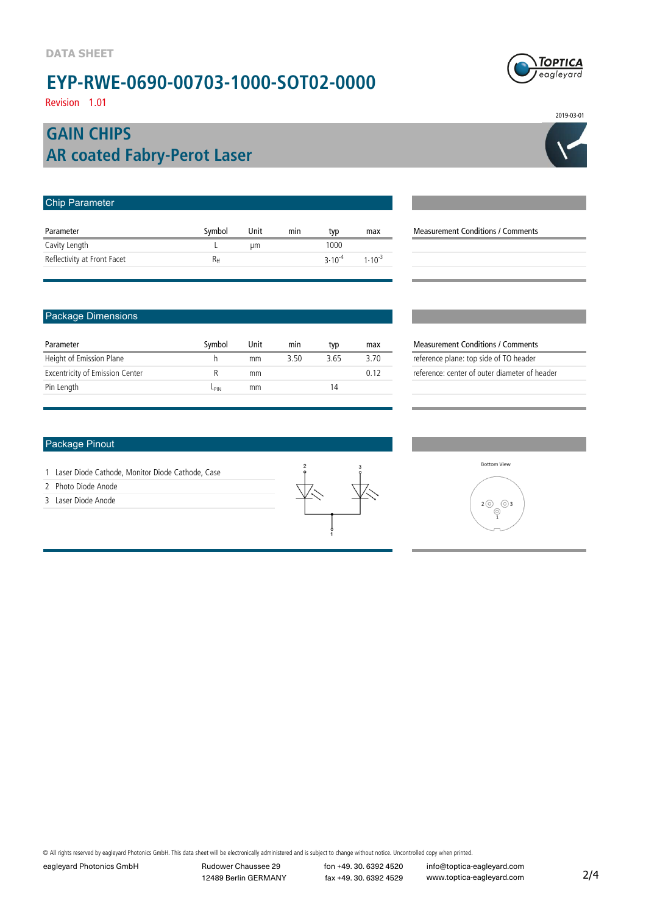Revision 1.01

### **AR coated Fabry-Perot Laser GAIN CHIPS**

| <b>Chip Parameter</b>       |          |      |     |             |             |                                          |
|-----------------------------|----------|------|-----|-------------|-------------|------------------------------------------|
| Parameter                   | Symbol   | Unit | min | typ         | max         | <b>Measurement Conditions / Comments</b> |
| Cavity Length               |          | um   |     | 1000        |             |                                          |
| Reflectivity at Front Facet | $R_{ff}$ |      |     | $3.10^{-4}$ | $1.10^{-3}$ |                                          |
|                             |          |      |     |             |             |                                          |

#### Package Dimensions

| Parameter                              | Symbol | Unit | min  | typ  | max  |
|----------------------------------------|--------|------|------|------|------|
| Height of Emission Plane               |        | mm   | 3.50 | 3.65 | 3.70 |
| <b>Excentricity of Emission Center</b> |        | mm   |      |      | በ 12 |
| Pin Length                             | Lpın   | mm   |      | 14   |      |

#### Package Pinout

- 1 Laser Diode Cathode, Monitor Diode Cathode, Case
- 2 Photo Diode Anode

3 Laser Diode Anode



© All rights reserved by eagleyard Photonics GmbH. This data sheet will be electronically administered and is subject to change without notice. Uncontrolled copy when printed.

eagleyard Photonics GmbH Rudower Chaussee 29 fon +49. 30. 6392 4520

12489 Berlin GERMANY fax +49. 30. 6392 4529





2019-03-01

| $2$ (0)<br>3<br>(O |
|--------------------|
|                    |

**Measurement Conditions / Comments** reference plane: top side of TO header reference: center of outer diameter of header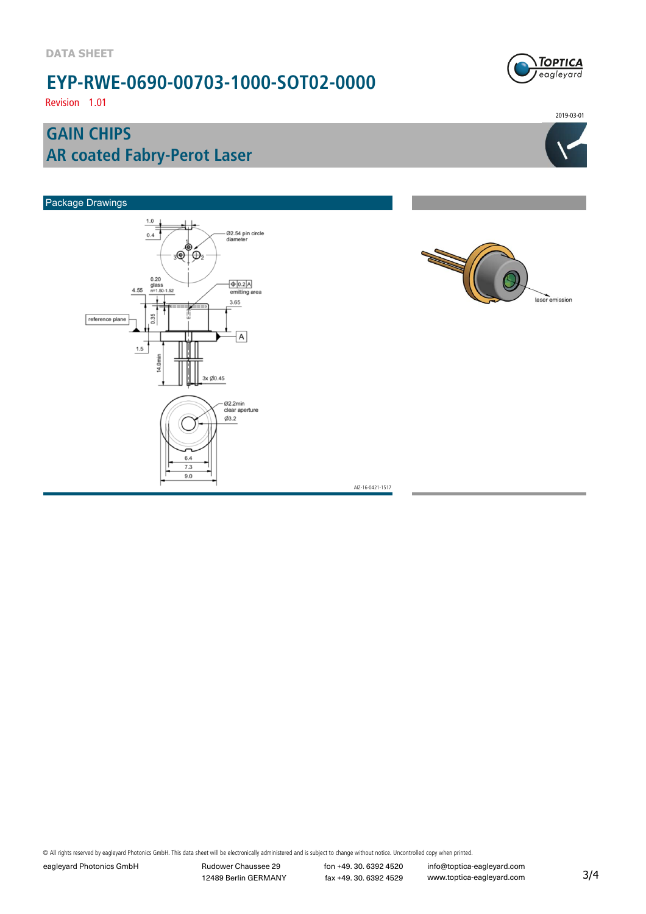Revision 1.01

### **AR coated Fabry-Perot Laser GAIN CHIPS**



2019-03-01

laser emission



AIZ-16-0421-1517

© All rights reserved by eagleyard Photonics GmbH. This data sheet will be electronically administered and is subject to change without notice. Uncontrolled copy when printed.

eagleyard Photonics GmbH Rudower Chaussee 29 fon +49. 30. 6392 4520

12489 Berlin GERMANY fax +49. 30. 6392 4529